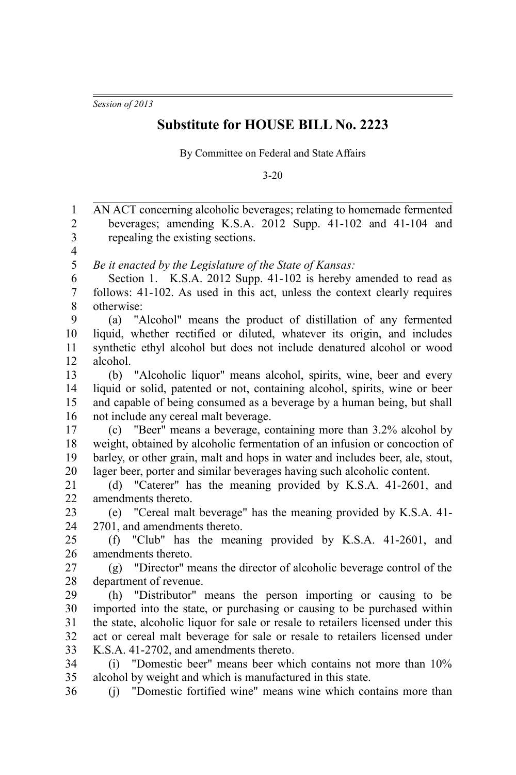*Session of 2013*

## **Substitute for HOUSE BILL No. 2223**

By Committee on Federal and State Affairs

3-20

| $\mathbf{1}$            | AN ACT concerning alcoholic beverages; relating to homemade fermented           |
|-------------------------|---------------------------------------------------------------------------------|
| $\mathfrak{2}$          | beverages; amending K.S.A. 2012 Supp. 41-102 and 41-104 and                     |
| $\overline{3}$          | repealing the existing sections.                                                |
| $\overline{\mathbf{4}}$ |                                                                                 |
| 5                       | Be it enacted by the Legislature of the State of Kansas:                        |
| 6                       | Section 1. K.S.A. 2012 Supp. 41-102 is hereby amended to read as                |
| $\overline{7}$          | follows: 41-102. As used in this act, unless the context clearly requires       |
| $8\,$                   | otherwise:                                                                      |
| 9                       | (a) "Alcohol" means the product of distillation of any fermented                |
| 10                      | liquid, whether rectified or diluted, whatever its origin, and includes         |
| 11                      | synthetic ethyl alcohol but does not include denatured alcohol or wood          |
| 12                      | alcohol.                                                                        |
| 13                      | "Alcoholic liquor" means alcohol, spirits, wine, beer and every<br>(b)          |
| 14                      | liquid or solid, patented or not, containing alcohol, spirits, wine or beer     |
| 15                      | and capable of being consumed as a beverage by a human being, but shall         |
| 16                      | not include any cereal malt beverage.                                           |
| 17                      | (c) "Beer" means a beverage, containing more than 3.2% alcohol by               |
| 18                      | weight, obtained by alcoholic fermentation of an infusion or concoction of      |
| 19                      | barley, or other grain, malt and hops in water and includes beer, ale, stout,   |
| 20                      | lager beer, porter and similar beverages having such alcoholic content.         |
| 21                      | (d) "Caterer" has the meaning provided by K.S.A. 41-2601, and                   |
| 22                      | amendments thereto.                                                             |
| 23                      | (e) "Cereal malt beverage" has the meaning provided by K.S.A. 41-               |
| 24                      | 2701, and amendments thereto.                                                   |
| 25                      | (f) "Club" has the meaning provided by K.S.A. 41-2601, and                      |
| 26                      | amendments thereto.                                                             |
| 27                      | (g) "Director" means the director of alcoholic beverage control of the          |
| 28                      | department of revenue.                                                          |
| 29                      | "Distributor" means the person importing or causing to be<br>(h)                |
| 30                      | imported into the state, or purchasing or causing to be purchased within        |
| 31                      | the state, alcoholic liquor for sale or resale to retailers licensed under this |
| 32                      | act or cereal malt beverage for sale or resale to retailers licensed under      |
| 33                      | K.S.A. 41-2702, and amendments thereto.                                         |
| 34                      | "Domestic beer" means beer which contains not more than 10%<br>(i)              |
| 35                      | alcohol by weight and which is manufactured in this state.                      |
| 36                      | (j) "Domestic fortified wine" means wine which contains more than               |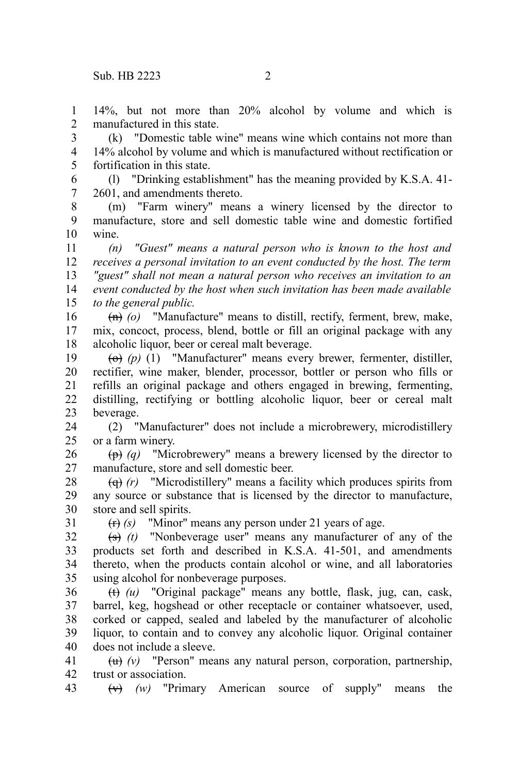1  $\mathcal{L}$  14%, but not more than 20% alcohol by volume and which is manufactured in this state.

(k) "Domestic table wine" means wine which contains not more than 14% alcohol by volume and which is manufactured without rectification or fortification in this state. 3 4 5

(l) "Drinking establishment" has the meaning provided by K.S.A. 41- 2601, and amendments thereto. 6 7

(m) "Farm winery" means a winery licensed by the director to manufacture, store and sell domestic table wine and domestic fortified wine. 8 9 10

*(n) "Guest" means a natural person who is known to the host and receives a personal invitation to an event conducted by the host. The term "guest" shall not mean a natural person who receives an invitation to an event conducted by the host when such invitation has been made available to the general public.* 11 12 13 14 15

(n) *(o)* "Manufacture" means to distill, rectify, ferment, brew, make, mix, concoct, process, blend, bottle or fill an original package with any alcoholic liquor, beer or cereal malt beverage. 16 17 18

(o) *(p)* (1) "Manufacturer" means every brewer, fermenter, distiller, rectifier, wine maker, blender, processor, bottler or person who fills or refills an original package and others engaged in brewing, fermenting, distilling, rectifying or bottling alcoholic liquor, beer or cereal malt beverage. 19 20 21 22 23

(2) "Manufacturer" does not include a microbrewery, microdistillery or a farm winery. 24 25

(p) *(q)* "Microbrewery" means a brewery licensed by the director to manufacture, store and sell domestic beer. 26 27

(q) *(r)* "Microdistillery" means a facility which produces spirits from any source or substance that is licensed by the director to manufacture, store and sell spirits. 28 29 30

31

(r) *(s)* "Minor" means any person under 21 years of age.

(s) *(t)* "Nonbeverage user" means any manufacturer of any of the products set forth and described in K.S.A. 41-501, and amendments thereto, when the products contain alcohol or wine, and all laboratories using alcohol for nonbeverage purposes. 32 33 34 35

(t) *(u)* "Original package" means any bottle, flask, jug, can, cask, barrel, keg, hogshead or other receptacle or container whatsoever, used, corked or capped, sealed and labeled by the manufacturer of alcoholic liquor, to contain and to convey any alcoholic liquor. Original container does not include a sleeve. 36 37 38 39 40

(u) *(v)* "Person" means any natural person, corporation, partnership, trust or association. 41 42

(v) *(w)* "Primary American source of supply" means the 43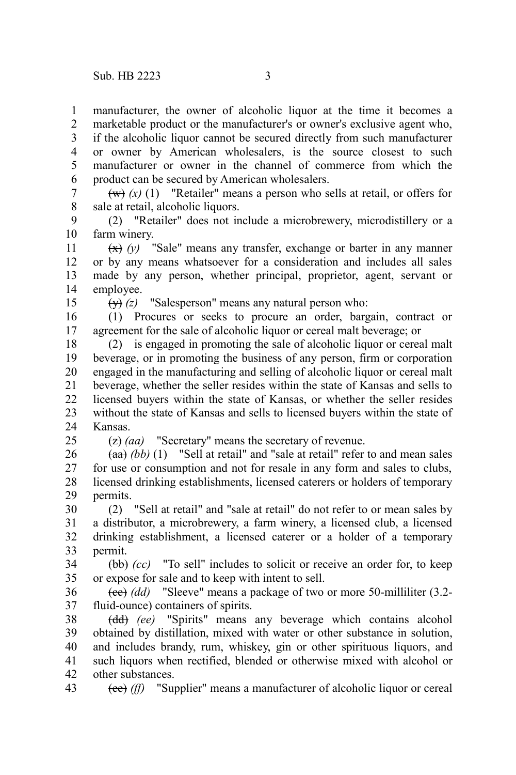manufacturer, the owner of alcoholic liquor at the time it becomes a marketable product or the manufacturer's or owner's exclusive agent who, if the alcoholic liquor cannot be secured directly from such manufacturer or owner by American wholesalers, is the source closest to such manufacturer or owner in the channel of commerce from which the product can be secured by American wholesalers. 1 2 3 4 5 6

 $(w)$  (x) (1) "Retailer" means a person who sells at retail, or offers for sale at retail, alcoholic liquors. 7 8

(2) "Retailer" does not include a microbrewery, microdistillery or a farm winery. 9 10

(x) *(y)* "Sale" means any transfer, exchange or barter in any manner or by any means whatsoever for a consideration and includes all sales made by any person, whether principal, proprietor, agent, servant or employee. 11 12 13 14

15

 $25$ 

(y) *(z)* "Salesperson" means any natural person who:

(1) Procures or seeks to procure an order, bargain, contract or agreement for the sale of alcoholic liquor or cereal malt beverage; or 16 17

(2) is engaged in promoting the sale of alcoholic liquor or cereal malt beverage, or in promoting the business of any person, firm or corporation engaged in the manufacturing and selling of alcoholic liquor or cereal malt beverage, whether the seller resides within the state of Kansas and sells to licensed buyers within the state of Kansas, or whether the seller resides without the state of Kansas and sells to licensed buyers within the state of Kansas. 18 19 20 21 22 23 24

(z) *(aa)* "Secretary" means the secretary of revenue.

 $(aa)$  *(bb)* (1) "Sell at retail" and "sale at retail" refer to and mean sales for use or consumption and not for resale in any form and sales to clubs, licensed drinking establishments, licensed caterers or holders of temporary permits. 26 27 28 29

(2) "Sell at retail" and "sale at retail" do not refer to or mean sales by a distributor, a microbrewery, a farm winery, a licensed club, a licensed drinking establishment, a licensed caterer or a holder of a temporary permit. 30 31 32 33

(bb) *(cc)* "To sell" includes to solicit or receive an order for, to keep or expose for sale and to keep with intent to sell. 34 35

(cc) *(dd)* "Sleeve" means a package of two or more 50-milliliter (3.2 fluid-ounce) containers of spirits. 36 37

(dd) *(ee)* "Spirits" means any beverage which contains alcohol obtained by distillation, mixed with water or other substance in solution, and includes brandy, rum, whiskey, gin or other spirituous liquors, and such liquors when rectified, blended or otherwise mixed with alcohol or other substances. 38 39 40 41 42

(ee) *(ff)* "Supplier" means a manufacturer of alcoholic liquor or cereal 43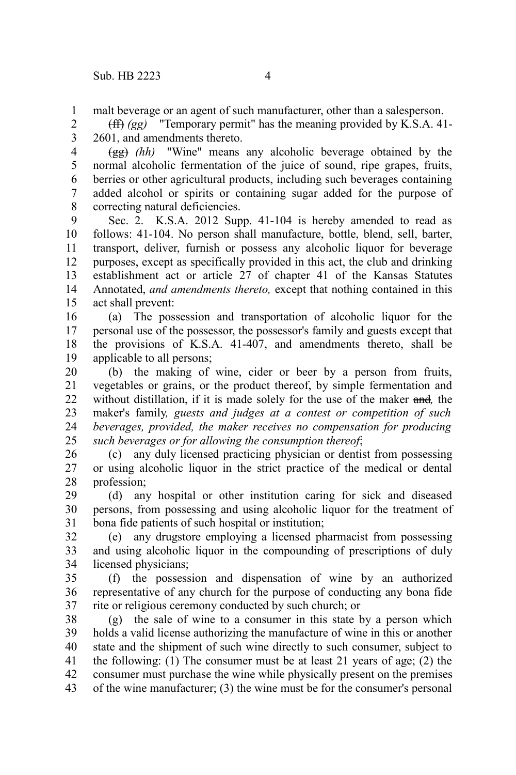malt beverage or an agent of such manufacturer, other than a salesperson. 1

(ff) *(gg)* "Temporary permit" has the meaning provided by K.S.A. 41- 2601, and amendments thereto. 2 3

(gg) *(hh)* "Wine" means any alcoholic beverage obtained by the normal alcoholic fermentation of the juice of sound, ripe grapes, fruits, berries or other agricultural products, including such beverages containing added alcohol or spirits or containing sugar added for the purpose of correcting natural deficiencies. 4 5 6 7 8

Sec. 2. K.S.A. 2012 Supp. 41-104 is hereby amended to read as follows: 41-104. No person shall manufacture, bottle, blend, sell, barter, transport, deliver, furnish or possess any alcoholic liquor for beverage purposes, except as specifically provided in this act, the club and drinking establishment act or article 27 of chapter 41 of the Kansas Statutes Annotated, *and amendments thereto,* except that nothing contained in this act shall prevent: 9 10 11 12 13 14 15

(a) The possession and transportation of alcoholic liquor for the personal use of the possessor, the possessor's family and guests except that the provisions of K.S.A. 41-407, and amendments thereto, shall be applicable to all persons; 16 17 18 19

(b) the making of wine, cider or beer by a person from fruits, vegetables or grains, or the product thereof, by simple fermentation and without distillation, if it is made solely for the use of the maker and*,* the maker's family*, guests and judges at a contest or competition of such beverages, provided, the maker receives no compensation for producing such beverages or for allowing the consumption thereof*; 20 21 22 23 24 25

(c) any duly licensed practicing physician or dentist from possessing or using alcoholic liquor in the strict practice of the medical or dental profession; 26 27 28

(d) any hospital or other institution caring for sick and diseased persons, from possessing and using alcoholic liquor for the treatment of bona fide patients of such hospital or institution; 29 30 31

(e) any drugstore employing a licensed pharmacist from possessing and using alcoholic liquor in the compounding of prescriptions of duly licensed physicians; 32 33 34

(f) the possession and dispensation of wine by an authorized representative of any church for the purpose of conducting any bona fide rite or religious ceremony conducted by such church; or 35 36 37

(g) the sale of wine to a consumer in this state by a person which holds a valid license authorizing the manufacture of wine in this or another state and the shipment of such wine directly to such consumer, subject to the following: (1) The consumer must be at least 21 years of age; (2) the consumer must purchase the wine while physically present on the premises of the wine manufacturer; (3) the wine must be for the consumer's personal 38 39 40 41 42 43